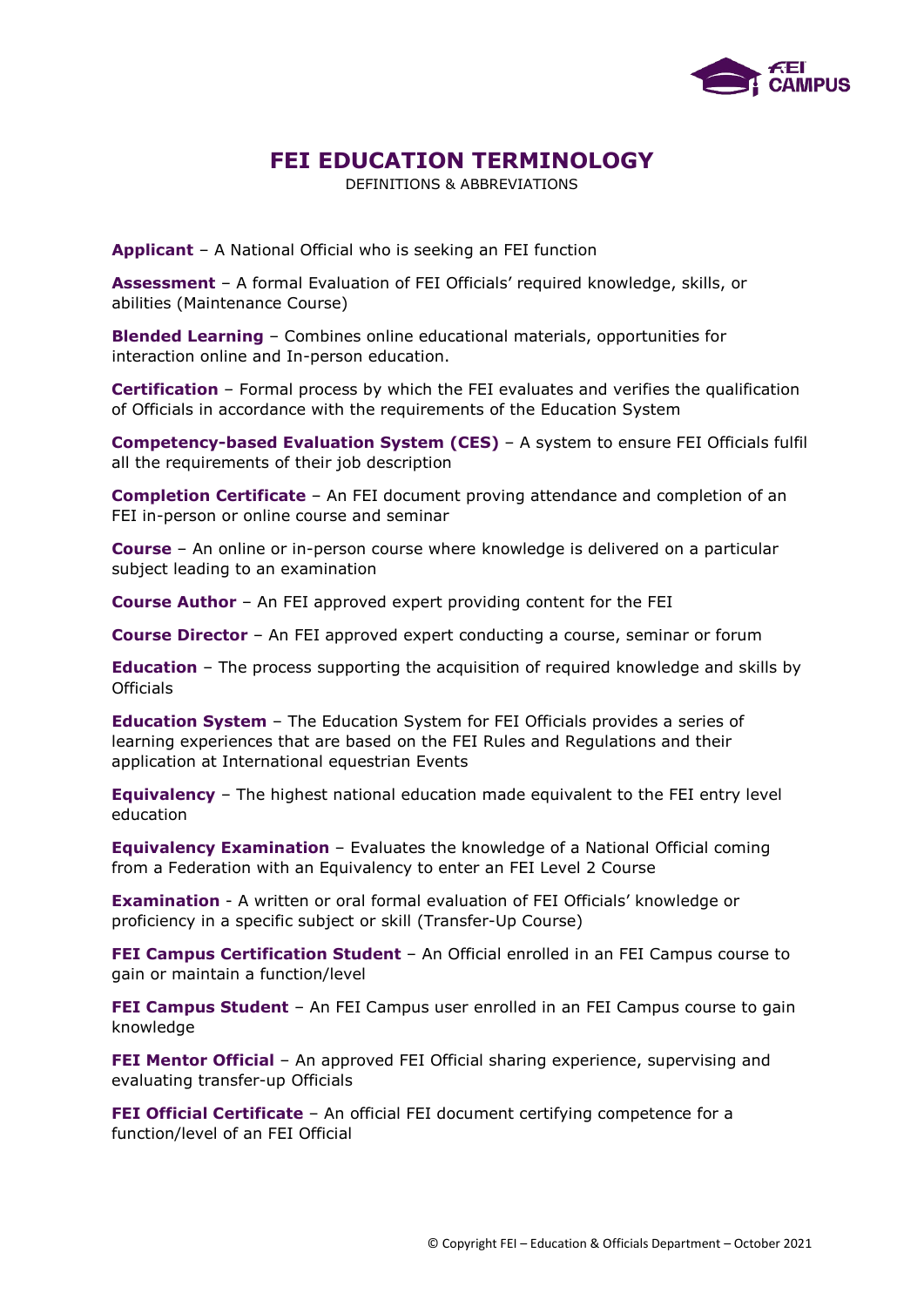

## **FEI EDUCATION TERMINOLOGY**

DEFINITIONS & ABBREVIATIONS

**Applicant** – A National Official who is seeking an FEI function

**Assessment** – A formal Evaluation of FEI Officials' required knowledge, skills, or abilities (Maintenance Course)

**Blended Learning** – Combines online educational materials, opportunities for interaction online and In-person education.

**Certification** – Formal process by which the FEI evaluates and verifies the qualification of Officials in accordance with the requirements of the Education System

**Competency-based Evaluation System (CES)** – A system to ensure FEI Officials fulfil all the requirements of their job description

**Completion Certificate** – An FEI document proving attendance and completion of an FEI in-person or online course and seminar

**Course** – An online or in-person course where knowledge is delivered on a particular subject leading to an examination

**Course Author** – An FEI approved expert providing content for the FEI

**Course Director** – An FEI approved expert conducting a course, seminar or forum

**Education** – The process supporting the acquisition of required knowledge and skills by **Officials** 

**Education System** – The Education System for FEI Officials provides a series of learning experiences that are based on the FEI Rules and Regulations and their application at International equestrian Events

**Equivalency** – The highest national education made equivalent to the FEI entry level education

**Equivalency Examination** – Evaluates the knowledge of a National Official coming from a Federation with an Equivalency to enter an FEI Level 2 Course

**Examination** - A written or oral formal evaluation of FEI Officials' knowledge or proficiency in a specific subject or skill (Transfer-Up Course)

**FEI Campus Certification Student** – An Official enrolled in an FEI Campus course to gain or maintain a function/level

**FEI Campus Student** – An FEI Campus user enrolled in an FEI Campus course to gain knowledge

**FEI Mentor Official** – An approved FEI Official sharing experience, supervising and evaluating transfer-up Officials

**FEI Official Certificate** – An official FEI document certifying competence for a function/level of an FEI Official